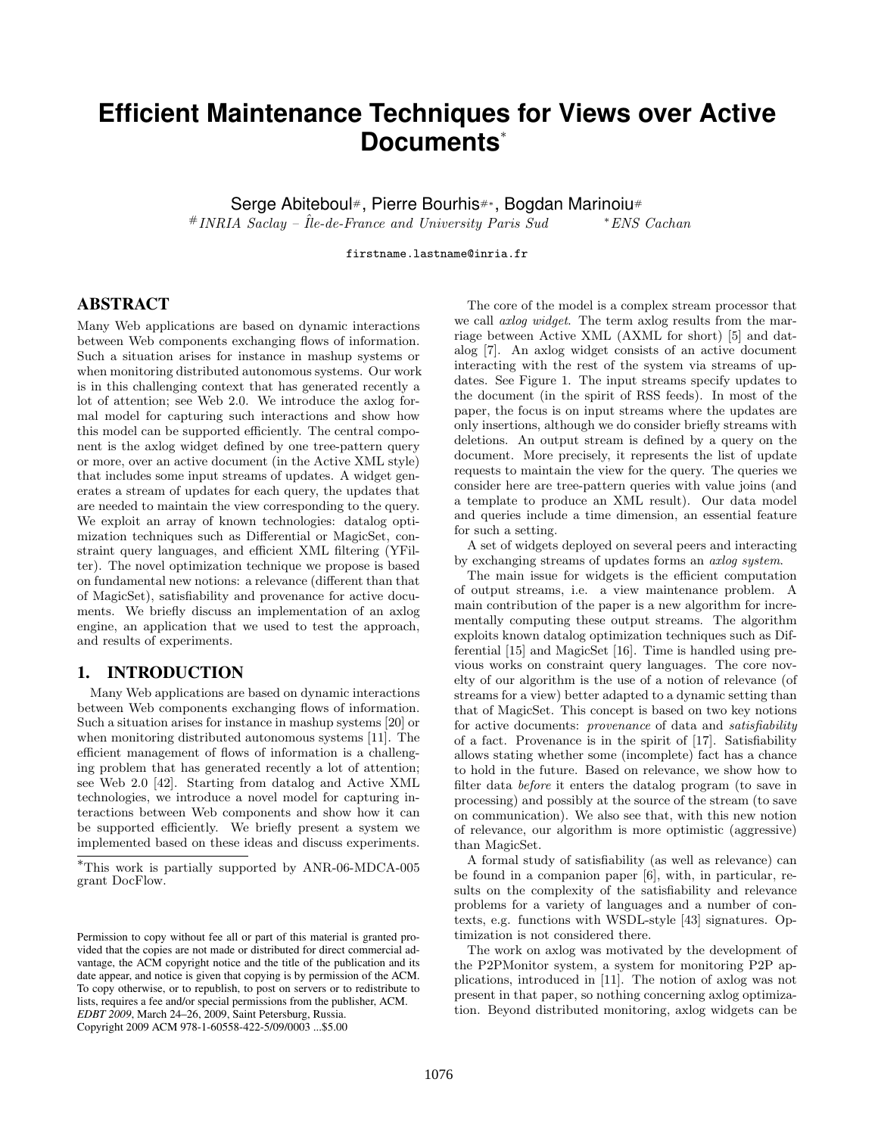# **Efficient Maintenance Techniques for Views over Active Documents**<sup>∗</sup>

Serge Abiteboul#, Pierre Bourhis#∗, Bogdan Marinoiu#

 $# INRIA$  Saclay –  $\hat{I}$ le-de-France and University Paris Sud  $*$  ENS Cachan

firstname.lastname@inria.fr

# ABSTRACT

Many Web applications are based on dynamic interactions between Web components exchanging flows of information. Such a situation arises for instance in mashup systems or when monitoring distributed autonomous systems. Our work is in this challenging context that has generated recently a lot of attention; see Web 2.0. We introduce the axlog formal model for capturing such interactions and show how this model can be supported efficiently. The central component is the axlog widget defined by one tree-pattern query or more, over an active document (in the Active XML style) that includes some input streams of updates. A widget generates a stream of updates for each query, the updates that are needed to maintain the view corresponding to the query. We exploit an array of known technologies: datalog optimization techniques such as Differential or MagicSet, constraint query languages, and efficient XML filtering (YFilter). The novel optimization technique we propose is based on fundamental new notions: a relevance (different than that of MagicSet), satisfiability and provenance for active documents. We briefly discuss an implementation of an axlog engine, an application that we used to test the approach, and results of experiments.

## 1. INTRODUCTION

Many Web applications are based on dynamic interactions between Web components exchanging flows of information. Such a situation arises for instance in mashup systems [20] or when monitoring distributed autonomous systems [11]. The efficient management of flows of information is a challenging problem that has generated recently a lot of attention; see Web 2.0 [42]. Starting from datalog and Active XML technologies, we introduce a novel model for capturing interactions between Web components and show how it can be supported efficiently. We briefly present a system we implemented based on these ideas and discuss experiments.

Copyright 2009 ACM 978-1-60558-422-5/09/0003 ...\$5.00

The core of the model is a complex stream processor that we call axlog widget. The term axlog results from the marriage between Active XML (AXML for short) [5] and datalog [7]. An axlog widget consists of an active document interacting with the rest of the system via streams of updates. See Figure 1. The input streams specify updates to the document (in the spirit of RSS feeds). In most of the paper, the focus is on input streams where the updates are only insertions, although we do consider briefly streams with deletions. An output stream is defined by a query on the document. More precisely, it represents the list of update requests to maintain the view for the query. The queries we consider here are tree-pattern queries with value joins (and a template to produce an XML result). Our data model and queries include a time dimension, an essential feature for such a setting.

A set of widgets deployed on several peers and interacting by exchanging streams of updates forms an axlog system.

The main issue for widgets is the efficient computation of output streams, i.e. a view maintenance problem. A main contribution of the paper is a new algorithm for incrementally computing these output streams. The algorithm exploits known datalog optimization techniques such as Differential [15] and MagicSet [16]. Time is handled using previous works on constraint query languages. The core novelty of our algorithm is the use of a notion of relevance (of streams for a view) better adapted to a dynamic setting than that of MagicSet. This concept is based on two key notions for active documents: provenance of data and satisfiability of a fact. Provenance is in the spirit of [17]. Satisfiability allows stating whether some (incomplete) fact has a chance to hold in the future. Based on relevance, we show how to filter data before it enters the datalog program (to save in processing) and possibly at the source of the stream (to save on communication). We also see that, with this new notion of relevance, our algorithm is more optimistic (aggressive) than MagicSet.

A formal study of satisfiability (as well as relevance) can be found in a companion paper [6], with, in particular, results on the complexity of the satisfiability and relevance problems for a variety of languages and a number of contexts, e.g. functions with WSDL-style [43] signatures. Optimization is not considered there.

The work on axlog was motivated by the development of the P2PMonitor system, a system for monitoring P2P applications, introduced in [11]. The notion of axlog was not present in that paper, so nothing concerning axlog optimization. Beyond distributed monitoring, axlog widgets can be

<sup>∗</sup>This work is partially supported by ANR-06-MDCA-005 grant DocFlow.

Permission to copy without fee all or part of this material is granted provided that the copies are not made or distributed for direct commercial advantage, the ACM copyright notice and the title of the publication and its date appear, and notice is given that copying is by permission of the ACM. To copy otherwise, or to republish, to post on servers or to redistribute to lists, requires a fee and/or special permissions from the publisher, ACM. *EDBT 2009*, March 24–26, 2009, Saint Petersburg, Russia.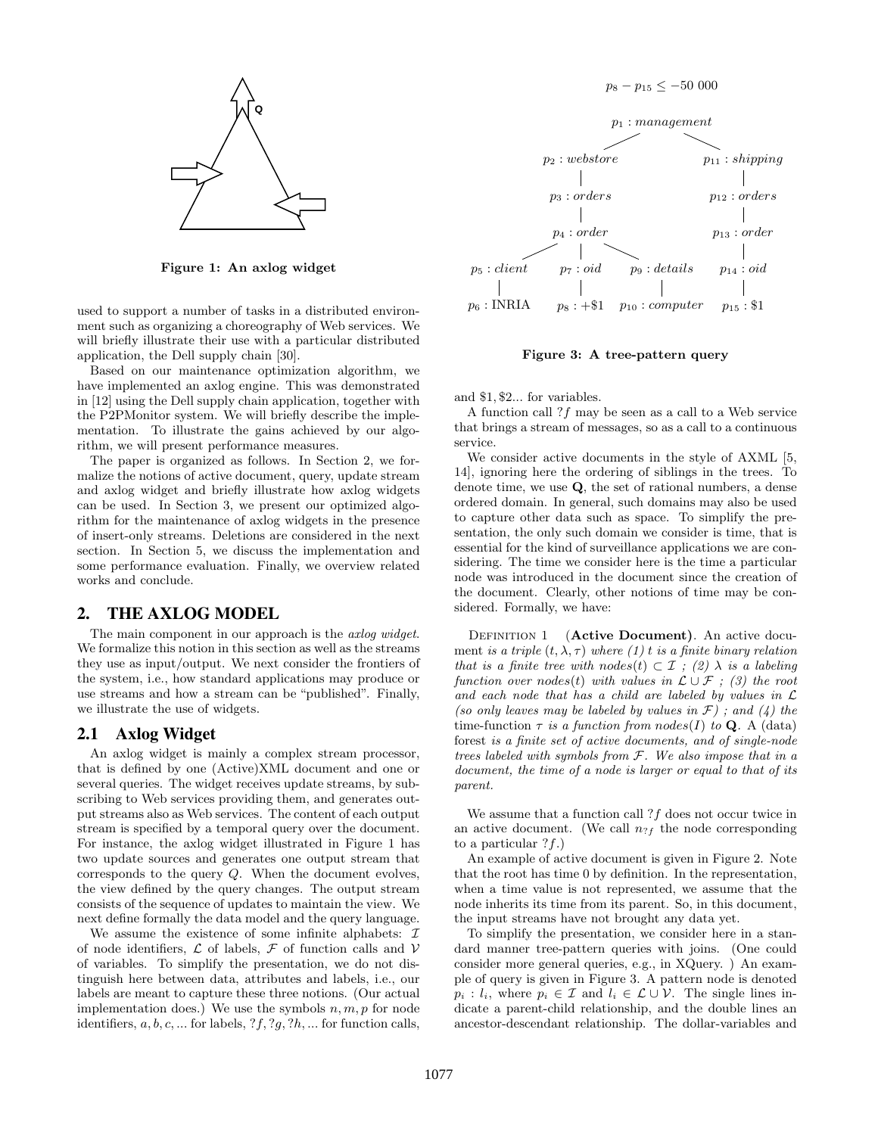

Figure 1: An axlog widget

used to support a number of tasks in a distributed environment such as organizing a choreography of Web services. We will briefly illustrate their use with a particular distributed application, the Dell supply chain [30].

Based on our maintenance optimization algorithm, we have implemented an axlog engine. This was demonstrated in [12] using the Dell supply chain application, together with the P2PMonitor system. We will briefly describe the implementation. To illustrate the gains achieved by our algorithm, we will present performance measures.

The paper is organized as follows. In Section 2, we formalize the notions of active document, query, update stream and axlog widget and briefly illustrate how axlog widgets can be used. In Section 3, we present our optimized algorithm for the maintenance of axlog widgets in the presence of insert-only streams. Deletions are considered in the next section. In Section 5, we discuss the implementation and some performance evaluation. Finally, we overview related works and conclude.

## 2. THE AXLOG MODEL

The main component in our approach is the *axlog widget*. We formalize this notion in this section as well as the streams they use as input/output. We next consider the frontiers of the system, i.e., how standard applications may produce or use streams and how a stream can be "published". Finally, we illustrate the use of widgets.

# 2.1 Axlog Widget

An axlog widget is mainly a complex stream processor, that is defined by one (Active)XML document and one or several queries. The widget receives update streams, by subscribing to Web services providing them, and generates output streams also as Web services. The content of each output stream is specified by a temporal query over the document. For instance, the axlog widget illustrated in Figure 1 has two update sources and generates one output stream that corresponds to the query Q. When the document evolves, the view defined by the query changes. The output stream consists of the sequence of updates to maintain the view. We next define formally the data model and the query language.

We assume the existence of some infinite alphabets:  $\mathcal I$ of node identifiers,  $\mathcal L$  of labels,  $\mathcal F$  of function calls and  $\mathcal V$ of variables. To simplify the presentation, we do not distinguish here between data, attributes and labels, i.e., our labels are meant to capture these three notions. (Our actual implementation does.) We use the symbols  $n, m, p$  for node identifiers,  $a, b, c, \ldots$  for labels,  $?f, ?g, ?h, \ldots$  for function calls,

 $p_8 - p_{15} \le -50\,000$ 



Figure 3: A tree-pattern query

and \$1, \$2... for variables.

A function call ?f may be seen as a call to a Web service that brings a stream of messages, so as a call to a continuous service.

We consider active documents in the style of AXML [5, 14], ignoring here the ordering of siblings in the trees. To denote time, we use Q, the set of rational numbers, a dense ordered domain. In general, such domains may also be used to capture other data such as space. To simplify the presentation, the only such domain we consider is time, that is essential for the kind of surveillance applications we are considering. The time we consider here is the time a particular node was introduced in the document since the creation of the document. Clearly, other notions of time may be considered. Formally, we have:

DEFINITION 1 (Active Document). An active document is a triple  $(t, \lambda, \tau)$  where (1) t is a finite binary relation that is a finite tree with nodes(t)  $\subset \mathcal{I}$  ; (2)  $\lambda$  is a labeling function over nodes(t) with values in  $\mathcal{L} \cup \mathcal{F}$ ; (3) the root and each node that has a child are labeled by values in L (so only leaves may be labeled by values in  $\mathcal{F}$ ); and (4) the time-function  $\tau$  is a function from nodes(I) to Q. A (data) forest is a finite set of active documents, and of single-node trees labeled with symbols from F. We also impose that in a document, the time of a node is larger or equal to that of its parent.

We assume that a function call  $?f$  does not occur twice in an active document. (We call  $n_{2f}$  the node corresponding to a particular  $?f.$ )

An example of active document is given in Figure 2. Note that the root has time 0 by definition. In the representation, when a time value is not represented, we assume that the node inherits its time from its parent. So, in this document, the input streams have not brought any data yet.

To simplify the presentation, we consider here in a standard manner tree-pattern queries with joins. (One could consider more general queries, e.g., in XQuery. ) An example of query is given in Figure 3. A pattern node is denoted  $p_i : l_i$ , where  $p_i \in \mathcal{I}$  and  $l_i \in \mathcal{L} \cup \mathcal{V}$ . The single lines indicate a parent-child relationship, and the double lines an ancestor-descendant relationship. The dollar-variables and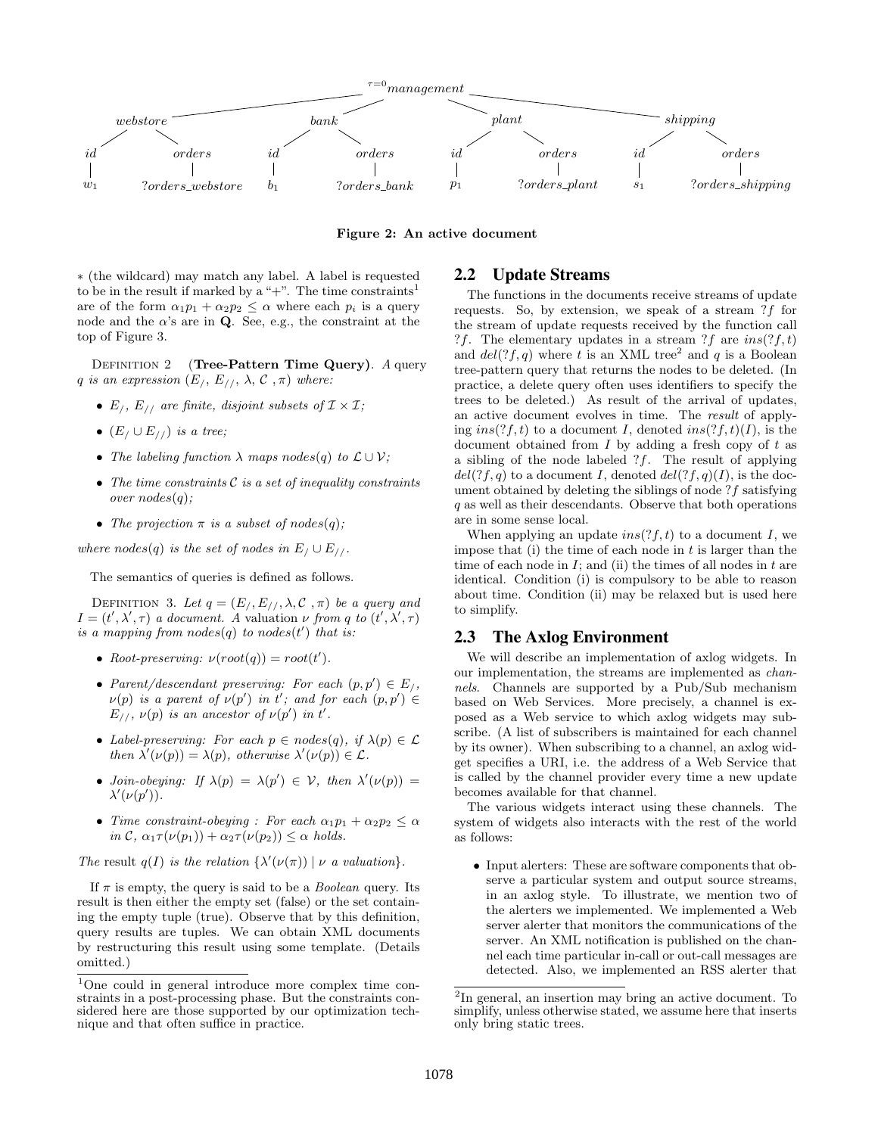

Figure 2: An active document

∗ (the wildcard) may match any label. A label is requested to be in the result if marked by a "+". The time constraints<sup>1</sup> are of the form  $\alpha_1 p_1 + \alpha_2 p_2 \leq \alpha$  where each  $p_i$  is a query node and the  $\alpha$ 's are in Q. See, e.g., the constraint at the top of Figure 3.

DEFINITION 2 (Tree-Pattern Time Query). A query q is an expression  $(E_1, E_1, \lambda, \mathcal{C}, \pi)$  where:

- $E_i, E_{i,i}$  are finite, disjoint subsets of  $\mathcal{I} \times \mathcal{I}$ ;
- $(E/\cup E_{//})$  is a tree;
- The labeling function  $\lambda$  maps nodes(q) to  $\mathcal{L} \cup \mathcal{V}$ ;
- The time constraints  $\mathcal C$  is a set of inequality constraints over  $nodes(q)$ ;
- The projection  $\pi$  is a subset of nodes(q);

where nodes(q) is the set of nodes in  $E/\cup E/$ .

The semantics of queries is defined as follows.

DEFINITION 3. Let  $q = (E_1, E_1_1, \lambda, C, \pi)$  be a query and  $I = (t', \lambda', \tau)$  a document. A valuation  $\nu$  from q to  $(t', \lambda', \tau)$ is a mapping from  $nodes(q)$  to  $nodes(t')$  that is:

- Root-preserving:  $\nu(root(q)) = root(t').$
- Parent/descendant preserving: For each  $(p, p') \in E_1$ ,  $\nu(p)$  is a parent of  $\nu(p')$  in t'; and for each  $(p, p') \in$  $E_{//}, \nu(p)$  is an ancestor of  $\nu(p')$  in t'.
- Label-preserving: For each  $p \in nodes(q)$ , if  $\lambda(p) \in \mathcal{L}$ then  $\lambda'(\nu(p)) = \lambda(p)$ , otherwise  $\lambda'(\nu(p)) \in \mathcal{L}$ .
- Join-obeying: If  $\lambda(p) = \lambda(p') \in \mathcal{V}$ , then  $\lambda'(\nu(p)) =$  $\lambda'(\nu(p'))$ .
- Time constraint-obeying : For each  $\alpha_1 p_1 + \alpha_2 p_2 \leq \alpha$ in C,  $\alpha_1 \tau(\nu(p_1)) + \alpha_2 \tau(\nu(p_2)) \leq \alpha$  holds.

The result  $q(I)$  is the relation  $\{\lambda'(\nu(\pi)) \mid \nu \text{ a valuation}\}.$ 

If  $\pi$  is empty, the query is said to be a *Boolean* query. Its result is then either the empty set (false) or the set containing the empty tuple (true). Observe that by this definition, query results are tuples. We can obtain XML documents by restructuring this result using some template. (Details omitted.)

## 2.2 Update Streams

The functions in the documents receive streams of update requests. So, by extension, we speak of a stream ?f for the stream of update requests received by the function call ?f. The elementary updates in a stream ?f are  $ins(?f, t)$ and  $del(?f, q)$  where t is an XML tree<sup>2</sup> and q is a Boolean tree-pattern query that returns the nodes to be deleted. (In practice, a delete query often uses identifiers to specify the trees to be deleted.) As result of the arrival of updates, an active document evolves in time. The result of applying  $ins(?f, t)$  to a document I, denoted  $ins(?f, t)(I)$ , is the document obtained from  $I$  by adding a fresh copy of  $t$  as a sibling of the node labeled  $?f$ . The result of applying  $del(?f, q)$  to a document I, denoted  $del(?f, q)(I)$ , is the document obtained by deleting the siblings of node  $?f$  satisfying q as well as their descendants. Observe that both operations are in some sense local.

When applying an update  $ins(?f, t)$  to a document I, we impose that  $(i)$  the time of each node in  $t$  is larger than the time of each node in  $I$ ; and (ii) the times of all nodes in  $t$  are identical. Condition (i) is compulsory to be able to reason about time. Condition (ii) may be relaxed but is used here to simplify.

## 2.3 The Axlog Environment

We will describe an implementation of axlog widgets. In our implementation, the streams are implemented as channels. Channels are supported by a Pub/Sub mechanism based on Web Services. More precisely, a channel is exposed as a Web service to which axlog widgets may subscribe. (A list of subscribers is maintained for each channel by its owner). When subscribing to a channel, an axlog widget specifies a URI, i.e. the address of a Web Service that is called by the channel provider every time a new update becomes available for that channel.

The various widgets interact using these channels. The system of widgets also interacts with the rest of the world as follows:

• Input alerters: These are software components that observe a particular system and output source streams, in an axlog style. To illustrate, we mention two of the alerters we implemented. We implemented a Web server alerter that monitors the communications of the server. An XML notification is published on the channel each time particular in-call or out-call messages are detected. Also, we implemented an RSS alerter that

<sup>1</sup>One could in general introduce more complex time constraints in a post-processing phase. But the constraints considered here are those supported by our optimization technique and that often suffice in practice.

<sup>&</sup>lt;sup>2</sup>In general, an insertion may bring an active document. To simplify, unless otherwise stated, we assume here that inserts only bring static trees.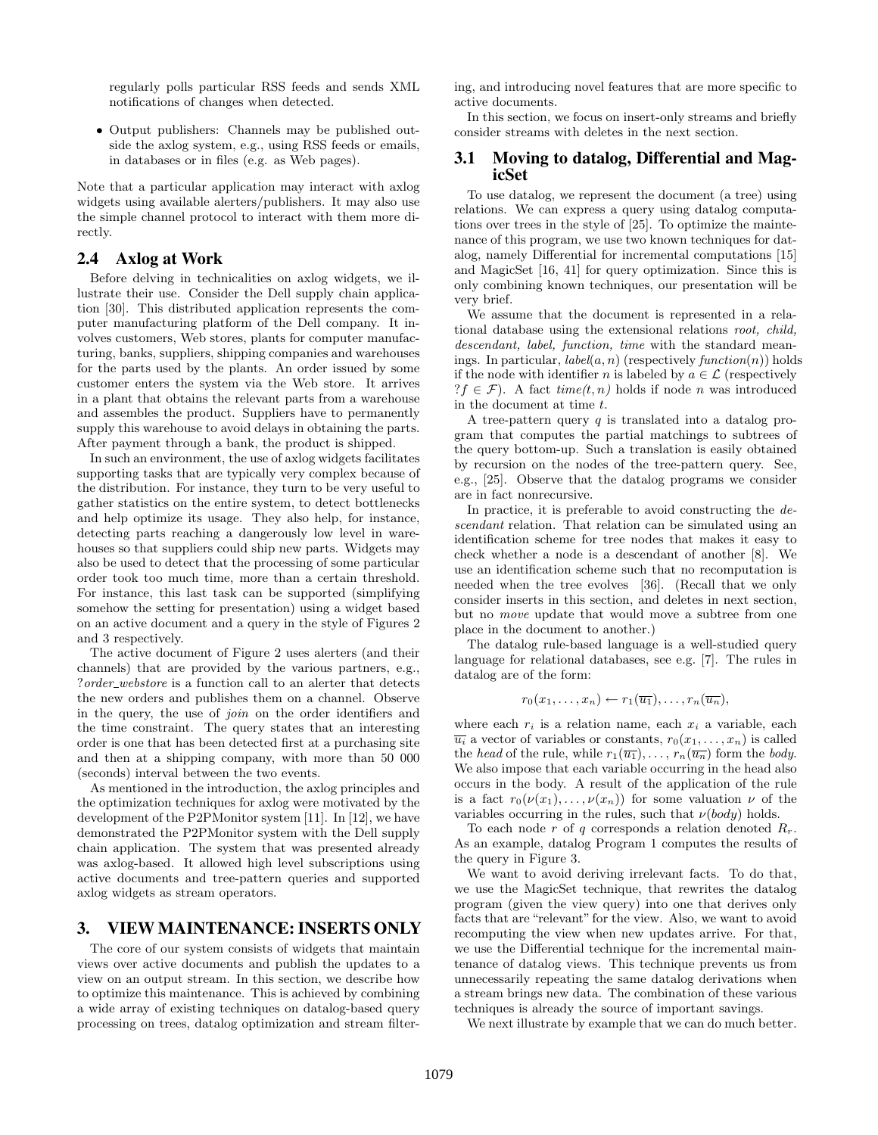regularly polls particular RSS feeds and sends XML notifications of changes when detected.

• Output publishers: Channels may be published outside the axlog system, e.g., using RSS feeds or emails, in databases or in files (e.g. as Web pages).

Note that a particular application may interact with axlog widgets using available alerters/publishers. It may also use the simple channel protocol to interact with them more directly.

## 2.4 Axlog at Work

Before delving in technicalities on axlog widgets, we illustrate their use. Consider the Dell supply chain application [30]. This distributed application represents the computer manufacturing platform of the Dell company. It involves customers, Web stores, plants for computer manufacturing, banks, suppliers, shipping companies and warehouses for the parts used by the plants. An order issued by some customer enters the system via the Web store. It arrives in a plant that obtains the relevant parts from a warehouse and assembles the product. Suppliers have to permanently supply this warehouse to avoid delays in obtaining the parts. After payment through a bank, the product is shipped.

In such an environment, the use of axlog widgets facilitates supporting tasks that are typically very complex because of the distribution. For instance, they turn to be very useful to gather statistics on the entire system, to detect bottlenecks and help optimize its usage. They also help, for instance, detecting parts reaching a dangerously low level in warehouses so that suppliers could ship new parts. Widgets may also be used to detect that the processing of some particular order took too much time, more than a certain threshold. For instance, this last task can be supported (simplifying somehow the setting for presentation) using a widget based on an active document and a query in the style of Figures 2 and 3 respectively.

The active document of Figure 2 uses alerters (and their channels) that are provided by the various partners, e.g., ?order\_webstore is a function call to an alerter that detects the new orders and publishes them on a channel. Observe in the query, the use of join on the order identifiers and the time constraint. The query states that an interesting order is one that has been detected first at a purchasing site and then at a shipping company, with more than 50 000 (seconds) interval between the two events.

As mentioned in the introduction, the axlog principles and the optimization techniques for axlog were motivated by the development of the P2PMonitor system [11]. In [12], we have demonstrated the P2PMonitor system with the Dell supply chain application. The system that was presented already was axlog-based. It allowed high level subscriptions using active documents and tree-pattern queries and supported axlog widgets as stream operators.

## 3. VIEW MAINTENANCE: INSERTS ONLY

The core of our system consists of widgets that maintain views over active documents and publish the updates to a view on an output stream. In this section, we describe how to optimize this maintenance. This is achieved by combining a wide array of existing techniques on datalog-based query processing on trees, datalog optimization and stream filtering, and introducing novel features that are more specific to active documents.

In this section, we focus on insert-only streams and briefly consider streams with deletes in the next section.

## 3.1 Moving to datalog, Differential and MagicSet

To use datalog, we represent the document (a tree) using relations. We can express a query using datalog computations over trees in the style of [25]. To optimize the maintenance of this program, we use two known techniques for datalog, namely Differential for incremental computations [15] and MagicSet [16, 41] for query optimization. Since this is only combining known techniques, our presentation will be very brief.

We assume that the document is represented in a relational database using the extensional relations root, child, descendant, label, function, time with the standard meanings. In particular,  $label(a, n)$  (respectively  $function(n)$ ) holds if the node with identifier n is labeled by  $a \in \mathcal{L}$  (respectively  $?f \in \mathcal{F}$ ). A fact  $time(t, n)$  holds if node n was introduced in the document at time t.

A tree-pattern query  $q$  is translated into a datalog program that computes the partial matchings to subtrees of the query bottom-up. Such a translation is easily obtained by recursion on the nodes of the tree-pattern query. See, e.g., [25]. Observe that the datalog programs we consider are in fact nonrecursive.

In practice, it is preferable to avoid constructing the descendant relation. That relation can be simulated using an identification scheme for tree nodes that makes it easy to check whether a node is a descendant of another [8]. We use an identification scheme such that no recomputation is needed when the tree evolves [36]. (Recall that we only consider inserts in this section, and deletes in next section, but no move update that would move a subtree from one place in the document to another.)

The datalog rule-based language is a well-studied query language for relational databases, see e.g. [7]. The rules in datalog are of the form:

$$
r_0(x_1,\ldots,x_n) \leftarrow r_1(\overline{u_1}),\ldots,r_n(\overline{u_n}),
$$

where each  $r_i$  is a relation name, each  $x_i$  a variable, each  $\overline{u_i}$  a vector of variables or constants,  $r_0(x_1, \ldots, x_n)$  is called the head of the rule, while  $r_1(\overline{u_1}), \ldots, r_n(\overline{u_n})$  form the body. We also impose that each variable occurring in the head also occurs in the body. A result of the application of the rule is a fact  $r_0(\nu(x_1), \ldots, \nu(x_n))$  for some valuation  $\nu$  of the variables occurring in the rules, such that  $\nu(body)$  holds.

To each node r of q corresponds a relation denoted  $R_r$ . As an example, datalog Program 1 computes the results of the query in Figure 3.

We want to avoid deriving irrelevant facts. To do that, we use the MagicSet technique, that rewrites the datalog program (given the view query) into one that derives only facts that are "relevant" for the view. Also, we want to avoid recomputing the view when new updates arrive. For that, we use the Differential technique for the incremental maintenance of datalog views. This technique prevents us from unnecessarily repeating the same datalog derivations when a stream brings new data. The combination of these various techniques is already the source of important savings.

We next illustrate by example that we can do much better.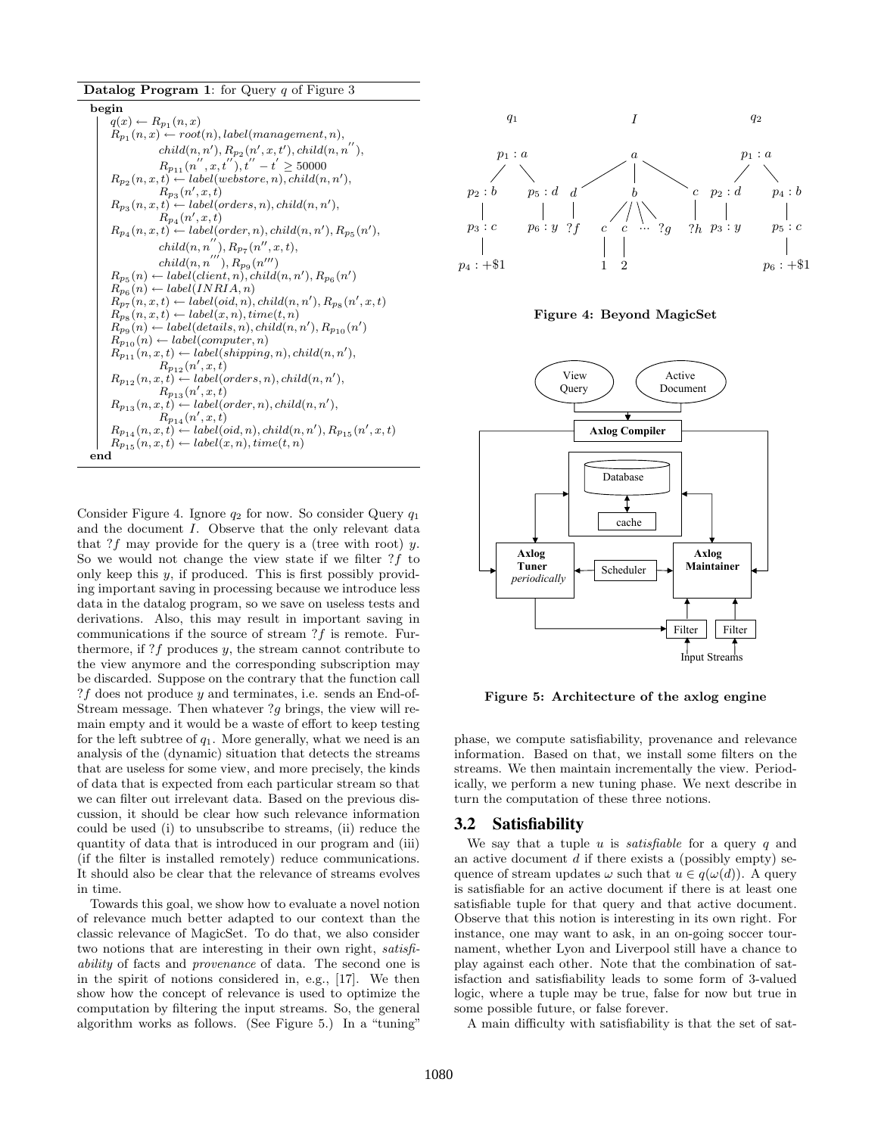#### **Datalog Program 1:** for Query  $q$  of Figure 3

begin
$$
\begin{array}{c} \textbf{begin}\\mathbf{in}\\ R_{p1}(n,x) \leftarrow R_{p1}(n,x),\\ R_{p1}(n,x) \leftarrow root(n), label(maxagement, n),\\ child(n,n'), R_{p2}(n',x,t'), child(n,n''),\\ R_{p11}(n',x,t'), t'-t' \geq 50000\\ R_{p2}(n,x,t) \leftarrow label(webstore, n), child(n,n'),\\ R_{p3}(n',x,t) \leftarrow label(ovedes, n), child(n,n'),\\ R_{p4}(n',x,t) \leftarrow label(order, n), child(n,n'), R_{p5}(n'),\\ R_{p4}(n,x,t) \leftarrow label(order, n), child(n,n'), R_{p5}(n'),\\ child(n,n''), R_{p7}(n'',x,t),\\ child(n,n''), R_{p7}(n'',x,t),\\ child(n,n''), R_{p8}(n'')\\ R_{p6}(n) \leftarrow label(client, n), child(n,n'), R_{p6}(n')\\ R_{p7}(n,x,t) \leftarrow label(oid, n), child(n,n'), R_{p8}(n',x,t)\\ R_{p8}(n,x,t) \leftarrow label(ax,n), time(t,n)\\ R_{p9}(n) \leftarrow label(let, n), time(t,n)\\ R_{p10}(n',-label(embel, n'), field(n,n'), R_{p10}(n')\\ R_{p11}(n,x,t) \leftarrow label(split, n)p_{10}(n', n'),\\ R_{p12}(n',x,t)\\ R_{p13}(n',x,t) \leftarrow label(order, n), child(n,n'),\\ R_{p14}(n,x,t) \leftarrow label(order, n), child(n,n'),\\ R_{p14}(n,x,t) \leftarrow label(order, n), child(n,n'), R_{p15}(n',x,t)\\ R_{p14}(n,x,t) \leftarrow label(oid, n), child(n,n'), R_{p15}(n',x,t)\\ R_{p14}(n,x,t) \leftarrow label(x,n), time(t,n)\end{array}
$$

Consider Figure 4. Ignore  $q_2$  for now. So consider Query  $q_1$ and the document I. Observe that the only relevant data that  $?f$  may provide for the query is a (tree with root) y. So we would not change the view state if we filter  $?f$  to only keep this  $y$ , if produced. This is first possibly providing important saving in processing because we introduce less data in the datalog program, so we save on useless tests and derivations. Also, this may result in important saving in communications if the source of stream ?f is remote. Furthermore, if  $?f$  produces y, the stream cannot contribute to the view anymore and the corresponding subscription may be discarded. Suppose on the contrary that the function call ?f does not produce y and terminates, i.e. sends an End-of-Stream message. Then whatever  $?g$  brings, the view will remain empty and it would be a waste of effort to keep testing for the left subtree of  $q_1$ . More generally, what we need is an analysis of the (dynamic) situation that detects the streams that are useless for some view, and more precisely, the kinds of data that is expected from each particular stream so that we can filter out irrelevant data. Based on the previous discussion, it should be clear how such relevance information could be used (i) to unsubscribe to streams, (ii) reduce the quantity of data that is introduced in our program and (iii) (if the filter is installed remotely) reduce communications. It should also be clear that the relevance of streams evolves in time.

Towards this goal, we show how to evaluate a novel notion of relevance much better adapted to our context than the classic relevance of MagicSet. To do that, we also consider two notions that are interesting in their own right, satisfiability of facts and provenance of data. The second one is in the spirit of notions considered in, e.g., [17]. We then show how the concept of relevance is used to optimize the computation by filtering the input streams. So, the general algorithm works as follows. (See Figure 5.) In a "tuning"



Figure 4: Beyond MagicSet



Figure 5: Architecture of the axlog engine

phase, we compute satisfiability, provenance and relevance information. Based on that, we install some filters on the streams. We then maintain incrementally the view. Periodically, we perform a new tuning phase. We next describe in turn the computation of these three notions.

#### 3.2 Satisfiability

We say that a tuple u is *satisfiable* for a query q and an active document  $d$  if there exists a (possibly empty) sequence of stream updates  $\omega$  such that  $u \in q(\omega(d))$ . A query is satisfiable for an active document if there is at least one satisfiable tuple for that query and that active document. Observe that this notion is interesting in its own right. For instance, one may want to ask, in an on-going soccer tournament, whether Lyon and Liverpool still have a chance to play against each other. Note that the combination of satisfaction and satisfiability leads to some form of 3-valued logic, where a tuple may be true, false for now but true in some possible future, or false forever.

A main difficulty with satisfiability is that the set of sat-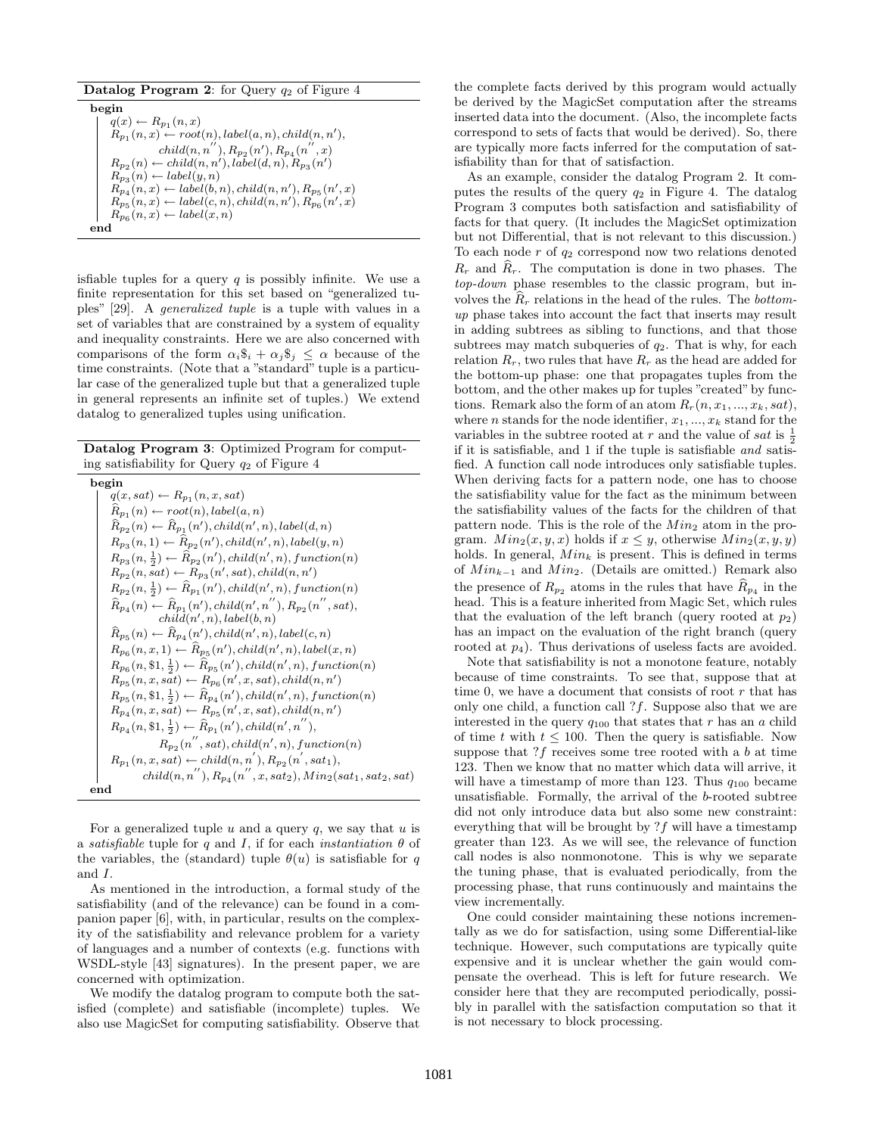#### **Datalog Program 2:** for Query  $q_2$  of Figure 4

begin  $q(x) \leftarrow R_{p_1}(n,x)$  $R_{p_1}(n,x) \leftarrow root(n), label(a,n), child(n,n'),$  $child(n,n^{''}), R_{p_2}(n'), R_{p_4}(n^{''}, x)$  $R_{p_2}(n) \leftarrow \text{child}(n,n'), \text{label}(d,n), R_{p_3}(n')$  $R_{p_3}(n) \leftarrow label(y,n)$  $R_{p_4}(n,x) \leftarrow label(b,n), child(n,n'), R_{p_5}(n',x)$  $R_{p_5}(n,x) \leftarrow label(c,n), child(n,n'), R_{p_6}(n',x)$  $R_{p_6}(n, x) \leftarrow label(x, n)$ end

isfiable tuples for a query  $q$  is possibly infinite. We use a finite representation for this set based on "generalized tuples" [29]. A generalized tuple is a tuple with values in a set of variables that are constrained by a system of equality and inequality constraints. Here we are also concerned with comparisons of the form  $\alpha_i$  $\hat{s}_i + \alpha_j$  $\hat{s}_j \leq \alpha$  because of the time constraints. (Note that a "standard" tuple is a particular case of the generalized tuple but that a generalized tuple in general represents an infinite set of tuples.) We extend datalog to generalized tuples using unification.

Datalog Program 3: Optimized Program for computing satisfiability for Query  $q_2$  of Figure 4

begin

 $q(x,sat) \leftarrow R_{p_1}(n,x,sat)$  $R_{p_1}(n) \leftarrow root(n), label(a, n)$  $\widehat{R}_{p_2}(n) \leftarrow \widehat{R}_{p_1}(n'), child(n', n), label(d, n)$  $R_{p_3}(n,1) \leftarrow \widehat{R}_{p_2}(n'), child(n',n), label(y,n)$  $R_{p_3}(n, \frac{1}{2}) \leftarrow \widehat{R}_{p_2}(n'), child(n', n), function(n)$  $R_{p_2}(n,sat) \leftarrow R_{p_3}(n',sat),child(n,n')$  $R_{p_2}(n, \frac{1}{2}) \leftarrow \widehat{R}_{p_1}(n'), child(n', n), function(n)$  $\widehat{R}_{p_4}(n) \leftarrow \widehat{R}_{p_1}(n'), child(n', n''), R_{p_2}(n'', sat),$  $child(n',n), label(b,n)$  $\widehat{R}_{p_5}(n) \leftarrow \widehat{R}_{p_4}(n'), child(n', n), label(c, n)$  $R_{p_6}(n, x, 1) \leftarrow \widehat{R}_{p_5}(n'), child(n', n), label(x, n)$  $R_{p_6}(n, \$1, \frac{1}{2}) \leftarrow \widehat{R}_{p_5}(n'), child(n', n), function(n)$  $R_{p_5}(n, x, sat) \leftarrow R_{p_6}(n', x, sat), child(n, n')$  $R_{p_5}(n, \$1, \frac{1}{2}) \leftarrow \widehat{R}_{p_4}(n'), child(n', n), function(n)$  $R_{p_4}(n, x, sat) \leftarrow R_{p_5}(n', x, sat), child(n, n')$  $R_{p_4}(n, \$1, \frac{1}{2}) \leftarrow \hat{R}_{p_1}(n'), child(n', n''),$  $\overline{R}_{p_2}(n^{\prime\prime},sat),child(n^{\prime},n),function(n)$  $R_{p_1}(n, x, sat) \leftarrow child(n, n^{'}), R_{p_2}(n^{'}, sat_1),$  $\mathit{child}(n,n^{''}),R_{p_{4}}(n^{''},x,\mathit{sat}_2),\mathit{Min}_2(\mathit{sat}_1,\mathit{sat}_2,\mathit{sat})$ end

For a generalized tuple  $u$  and a query  $q$ , we say that  $u$  is a satisfiable tuple for q and I, if for each instantiation  $\theta$  of the variables, the (standard) tuple  $\theta(u)$  is satisfiable for q and I.

As mentioned in the introduction, a formal study of the satisfiability (and of the relevance) can be found in a companion paper [6], with, in particular, results on the complexity of the satisfiability and relevance problem for a variety of languages and a number of contexts (e.g. functions with WSDL-style [43] signatures). In the present paper, we are concerned with optimization.

We modify the datalog program to compute both the satisfied (complete) and satisfiable (incomplete) tuples. We also use MagicSet for computing satisfiability. Observe that the complete facts derived by this program would actually be derived by the MagicSet computation after the streams inserted data into the document. (Also, the incomplete facts correspond to sets of facts that would be derived). So, there are typically more facts inferred for the computation of satisfiability than for that of satisfaction.

As an example, consider the datalog Program 2. It computes the results of the query  $q_2$  in Figure 4. The datalog Program 3 computes both satisfaction and satisfiability of facts for that query. (It includes the MagicSet optimization but not Differential, that is not relevant to this discussion.) To each node  $r$  of  $q_2$  correspond now two relations denoted  $R_r$  and  $\hat{R}_r$ . The computation is done in two phases. The top-down phase resembles to the classic program, but involves the  $\widehat{R}_r$  relations in the head of the rules. The *bottom*up phase takes into account the fact that inserts may result in adding subtrees as sibling to functions, and that those subtrees may match subqueries of  $q_2$ . That is why, for each relation  $R_r$ , two rules that have  $R_r$  as the head are added for the bottom-up phase: one that propagates tuples from the bottom, and the other makes up for tuples "created" by functions. Remark also the form of an atom  $R_r(n, x_1, ..., x_k, sat)$ , where *n* stands for the node identifier,  $x_1, ..., x_k$  stand for the variables in the subtree rooted at r and the value of *sat* is  $\frac{1}{2}$ if it is satisfiable, and 1 if the tuple is satisfiable and satisfied. A function call node introduces only satisfiable tuples. When deriving facts for a pattern node, one has to choose the satisfiability value for the fact as the minimum between the satisfiability values of the facts for the children of that pattern node. This is the role of the  $Min_2$  atom in the program.  $Min_2(x, y, x)$  holds if  $x \leq y$ , otherwise  $Min_2(x, y, y)$ holds. In general,  $Min_k$  is present. This is defined in terms of  $Min_{k-1}$  and  $Min_2$ . (Details are omitted.) Remark also the presence of  $R_{p_2}$  atoms in the rules that have  $R_{p_4}$  in the head. This is a feature inherited from Magic Set, which rules that the evaluation of the left branch (query rooted at  $p_2$ ) has an impact on the evaluation of the right branch (query rooted at  $p_4$ ). Thus derivations of useless facts are avoided.

Note that satisfiability is not a monotone feature, notably because of time constraints. To see that, suppose that at time 0, we have a document that consists of root  $r$  that has only one child, a function call  $?f$ . Suppose also that we are interested in the query  $q_{100}$  that states that r has an a child of time t with  $t \leq 100$ . Then the query is satisfiable. Now suppose that ?  $f$  receives some tree rooted with a  $b$  at time 123. Then we know that no matter which data will arrive, it will have a timestamp of more than 123. Thus  $q_{100}$  became unsatisfiable. Formally, the arrival of the b-rooted subtree did not only introduce data but also some new constraint: everything that will be brought by  $?f$  will have a timestamp greater than 123. As we will see, the relevance of function call nodes is also nonmonotone. This is why we separate the tuning phase, that is evaluated periodically, from the processing phase, that runs continuously and maintains the view incrementally.

One could consider maintaining these notions incrementally as we do for satisfaction, using some Differential-like technique. However, such computations are typically quite expensive and it is unclear whether the gain would compensate the overhead. This is left for future research. We consider here that they are recomputed periodically, possibly in parallel with the satisfaction computation so that it is not necessary to block processing.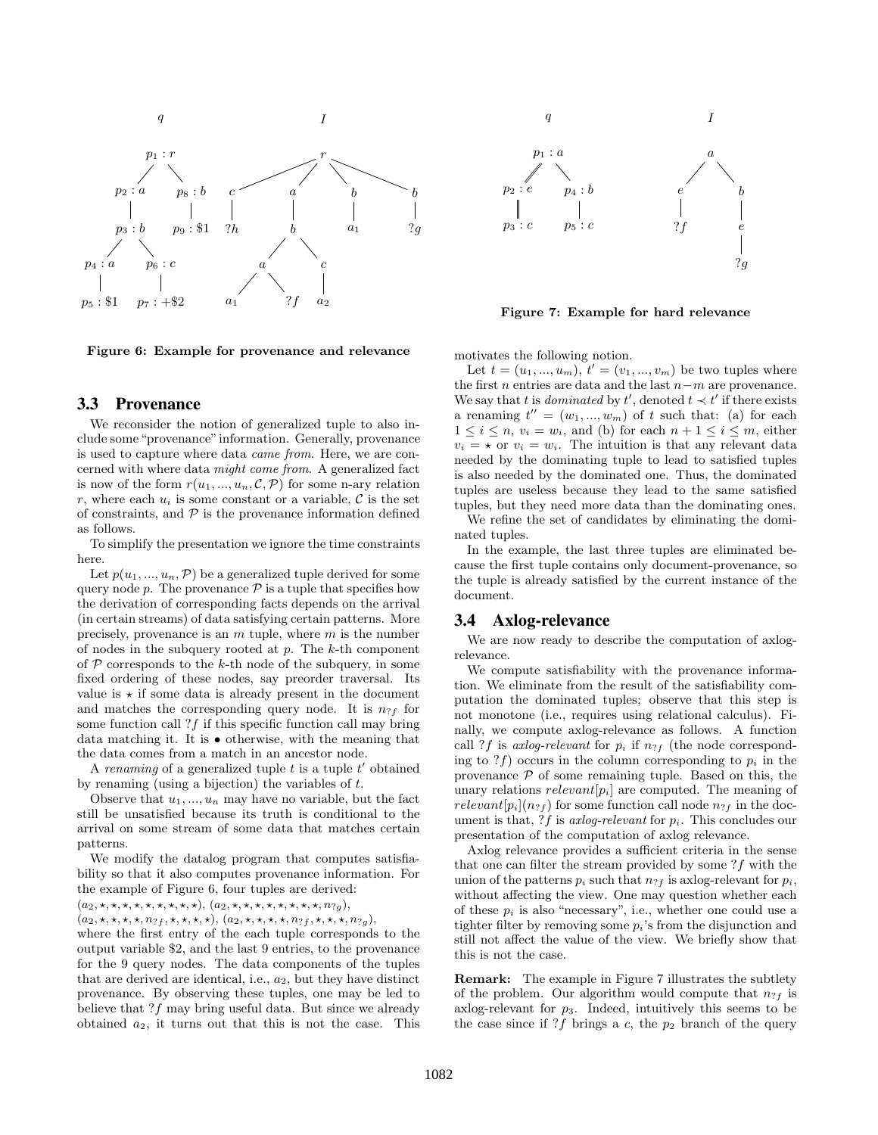



Figure 7: Example for hard relevance

Figure 6: Example for provenance and relevance

## 3.3 Provenance

We reconsider the notion of generalized tuple to also include some"provenance"information. Generally, provenance is used to capture where data came from. Here, we are concerned with where data might come from. A generalized fact is now of the form  $r(u_1, ..., u_n, \mathcal{C}, \mathcal{P})$  for some n-ary relation r, where each  $u_i$  is some constant or a variable, C is the set of constraints, and  $P$  is the provenance information defined as follows.

To simplify the presentation we ignore the time constraints here.

Let  $p(u_1, ..., u_n, \mathcal{P})$  be a generalized tuple derived for some query node p. The provenance  $P$  is a tuple that specifies how the derivation of corresponding facts depends on the arrival (in certain streams) of data satisfying certain patterns. More precisely, provenance is an  $m$  tuple, where  $m$  is the number of nodes in the subquery rooted at  $p$ . The  $k$ -th component of  $P$  corresponds to the k-th node of the subquery, in some fixed ordering of these nodes, say preorder traversal. Its value is  $\star$  if some data is already present in the document and matches the corresponding query node. It is  $n_{?f}$  for some function call  $?f$  if this specific function call may bring data matching it. It is • otherwise, with the meaning that the data comes from a match in an ancestor node.

A renaming of a generalized tuple  $t$  is a tuple  $t'$  obtained by renaming (using a bijection) the variables of  $t$ .

Observe that  $u_1, \ldots, u_n$  may have no variable, but the fact still be unsatisfied because its truth is conditional to the arrival on some stream of some data that matches certain patterns.

We modify the datalog program that computes satisfiability so that it also computes provenance information. For the example of Figure 6, four tuples are derived:

 $(a_2, \star, \star, \star, \star, \star, \star, \star, \star, \star, \star)$ ,  $(a_2, \star, \star, \star, \star, \star, \star, \star, \star, \star, n_{?g})$ ,

 $(a_2, \star, \star, \star, \star, n_{?f}, \star, \star, \star, \star), (a_2, \star, \star, \star, n_{?f}, \star, \star, \star, n_{?g}),$ 

where the first entry of the each tuple corresponds to the output variable \$2, and the last 9 entries, to the provenance for the 9 query nodes. The data components of the tuples that are derived are identical, i.e.,  $a_2$ , but they have distinct provenance. By observing these tuples, one may be led to believe that ?f may bring useful data. But since we already obtained  $a_2$ , it turns out that this is not the case. This motivates the following notion.

Let  $t = (u_1, ..., u_m)$ ,  $t' = (v_1, ..., v_m)$  be two tuples where the first n entries are data and the last  $n-m$  are provenance. We say that t is *dominated* by  $t'$ , denoted  $t \prec t'$  if there exists a renaming  $t'' = (w_1, ..., w_m)$  of t such that: (a) for each  $1 \leq i \leq n, v_i = w_i$ , and (b) for each  $n + 1 \leq i \leq m$ , either  $v_i = \star$  or  $v_i = w_i$ . The intuition is that any relevant data needed by the dominating tuple to lead to satisfied tuples is also needed by the dominated one. Thus, the dominated tuples are useless because they lead to the same satisfied tuples, but they need more data than the dominating ones.

We refine the set of candidates by eliminating the dominated tuples.

In the example, the last three tuples are eliminated because the first tuple contains only document-provenance, so the tuple is already satisfied by the current instance of the document.

#### 3.4 Axlog-relevance

We are now ready to describe the computation of axlogrelevance.

We compute satisfiability with the provenance information. We eliminate from the result of the satisfiability computation the dominated tuples; observe that this step is not monotone (i.e., requires using relational calculus). Finally, we compute axlog-relevance as follows. A function call ?f is axlog-relevant for  $p_i$  if  $n_{2f}$  (the node corresponding to ?f) occurs in the column corresponding to  $p_i$  in the provenance  $P$  of some remaining tuple. Based on this, the unary relations  $relevant[p_i]$  are computed. The meaning of  $relevant[p_i](n_{?f})$  for some function call node  $n_{?f}$  in the document is that, ?f is *axlog-relevant* for  $p_i$ . This concludes our presentation of the computation of axlog relevance.

Axlog relevance provides a sufficient criteria in the sense that one can filter the stream provided by some ?f with the union of the patterns  $p_i$  such that  $n_i$  is axlog-relevant for  $p_i$ , without affecting the view. One may question whether each of these  $p_i$  is also "necessary", i.e., whether one could use a tighter filter by removing some  $p_i$ 's from the disjunction and still not affect the value of the view. We briefly show that this is not the case.

Remark: The example in Figure 7 illustrates the subtlety of the problem. Our algorithm would compute that  $n_{2f}$  is axlog-relevant for  $p_3$ . Indeed, intuitively this seems to be the case since if  $?f$  brings a c, the  $p_2$  branch of the query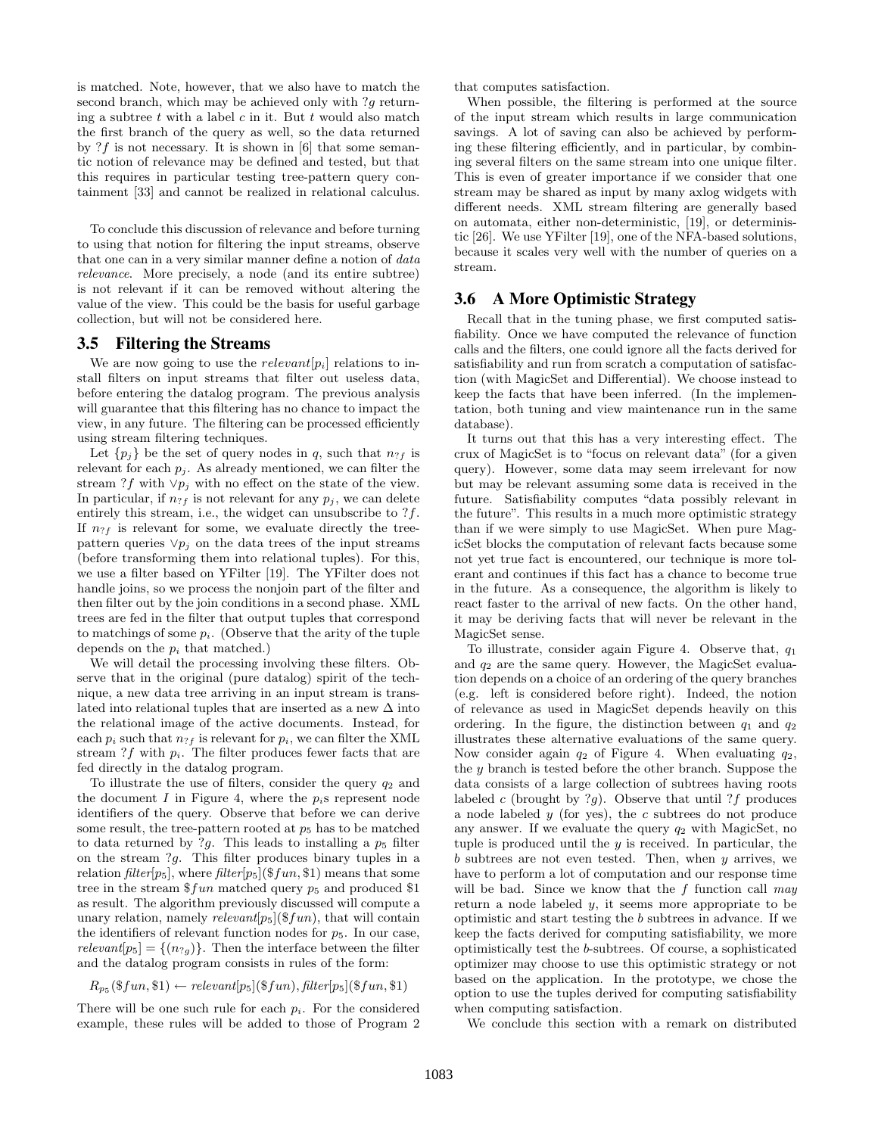is matched. Note, however, that we also have to match the second branch, which may be achieved only with  $?q$  returning a subtree  $t$  with a label  $c$  in it. But  $t$  would also match the first branch of the query as well, so the data returned by  $?f$  is not necessary. It is shown in [6] that some semantic notion of relevance may be defined and tested, but that this requires in particular testing tree-pattern query containment [33] and cannot be realized in relational calculus.

To conclude this discussion of relevance and before turning to using that notion for filtering the input streams, observe that one can in a very similar manner define a notion of data relevance. More precisely, a node (and its entire subtree) is not relevant if it can be removed without altering the value of the view. This could be the basis for useful garbage collection, but will not be considered here.

#### 3.5 Filtering the Streams

We are now going to use the relevant  $[p_i]$  relations to install filters on input streams that filter out useless data, before entering the datalog program. The previous analysis will guarantee that this filtering has no chance to impact the view, in any future. The filtering can be processed efficiently using stream filtering techniques.

Let  $\{p_i\}$  be the set of query nodes in q, such that  $n_{2f}$  is relevant for each  $p_i$ . As already mentioned, we can filter the stream ?f with  $\forall p_i$  with no effect on the state of the view. In particular, if  $n_{2f}$  is not relevant for any  $p_i$ , we can delete entirely this stream, i.e., the widget can unsubscribe to ?f. If  $n_{2f}$  is relevant for some, we evaluate directly the treepattern queries  $\vee p_j$  on the data trees of the input streams (before transforming them into relational tuples). For this, we use a filter based on YFilter [19]. The YFilter does not handle joins, so we process the nonjoin part of the filter and then filter out by the join conditions in a second phase. XML trees are fed in the filter that output tuples that correspond to matchings of some  $p_i$ . (Observe that the arity of the tuple depends on the  $p_i$  that matched.)

We will detail the processing involving these filters. Observe that in the original (pure datalog) spirit of the technique, a new data tree arriving in an input stream is translated into relational tuples that are inserted as a new  $\Delta$  into the relational image of the active documents. Instead, for each  $p_i$  such that  $n_{?f}$  is relevant for  $p_i$ , we can filter the XML stream ?f with  $p_i$ . The filter produces fewer facts that are fed directly in the datalog program.

To illustrate the use of filters, consider the query  $q_2$  and the document I in Figure 4, where the  $p_i$ s represent node identifiers of the query. Observe that before we can derive some result, the tree-pattern rooted at  $p_5$  has to be matched to data returned by ?g. This leads to installing a  $p_5$  filter on the stream ?g. This filter produces binary tuples in a relation  $filter[p_5]$ , where  $filter[p_5](\$fun, \$1)$  means that some tree in the stream  $$fun$  matched query  $p_5$  and produced \$1 as result. The algorithm previously discussed will compute a unary relation, namely  $relevant[p_5](\$fun)$ , that will contain the identifiers of relevant function nodes for  $p_5$ . In our case,  $relevant[p_5] = \{(n_{7g})\}$ . Then the interface between the filter and the datalog program consists in rules of the form:

#### $R_{p_5}(\$fun, \$1) \leftarrow relevant[p_5](\$fun), filter[p_5](\$fun, \$1)$

There will be one such rule for each  $p_i$ . For the considered example, these rules will be added to those of Program 2 that computes satisfaction.

When possible, the filtering is performed at the source of the input stream which results in large communication savings. A lot of saving can also be achieved by performing these filtering efficiently, and in particular, by combining several filters on the same stream into one unique filter. This is even of greater importance if we consider that one stream may be shared as input by many axlog widgets with different needs. XML stream filtering are generally based on automata, either non-deterministic, [19], or deterministic [26]. We use YFilter [19], one of the NFA-based solutions, because it scales very well with the number of queries on a stream.

## 3.6 A More Optimistic Strategy

Recall that in the tuning phase, we first computed satisfiability. Once we have computed the relevance of function calls and the filters, one could ignore all the facts derived for satisfiability and run from scratch a computation of satisfaction (with MagicSet and Differential). We choose instead to keep the facts that have been inferred. (In the implementation, both tuning and view maintenance run in the same database).

It turns out that this has a very interesting effect. The crux of MagicSet is to "focus on relevant data" (for a given query). However, some data may seem irrelevant for now but may be relevant assuming some data is received in the future. Satisfiability computes "data possibly relevant in the future". This results in a much more optimistic strategy than if we were simply to use MagicSet. When pure MagicSet blocks the computation of relevant facts because some not yet true fact is encountered, our technique is more tolerant and continues if this fact has a chance to become true in the future. As a consequence, the algorithm is likely to react faster to the arrival of new facts. On the other hand, it may be deriving facts that will never be relevant in the MagicSet sense.

To illustrate, consider again Figure 4. Observe that,  $q_1$ and  $q_2$  are the same query. However, the MagicSet evaluation depends on a choice of an ordering of the query branches (e.g. left is considered before right). Indeed, the notion of relevance as used in MagicSet depends heavily on this ordering. In the figure, the distinction between  $q_1$  and  $q_2$ illustrates these alternative evaluations of the same query. Now consider again  $q_2$  of Figure 4. When evaluating  $q_2$ , the  $y$  branch is tested before the other branch. Suppose the data consists of a large collection of subtrees having roots labeled c (brought by ?q). Observe that until ?f produces a node labeled  $y$  (for yes), the  $c$  subtrees do not produce any answer. If we evaluate the query  $q_2$  with MagicSet, no tuple is produced until the  $y$  is received. In particular, the b subtrees are not even tested. Then, when  $y$  arrives, we have to perform a lot of computation and our response time will be bad. Since we know that the  $f$  function call  $may$ return a node labeled  $y$ , it seems more appropriate to be optimistic and start testing the b subtrees in advance. If we keep the facts derived for computing satisfiability, we more optimistically test the b-subtrees. Of course, a sophisticated optimizer may choose to use this optimistic strategy or not based on the application. In the prototype, we chose the option to use the tuples derived for computing satisfiability when computing satisfaction.

We conclude this section with a remark on distributed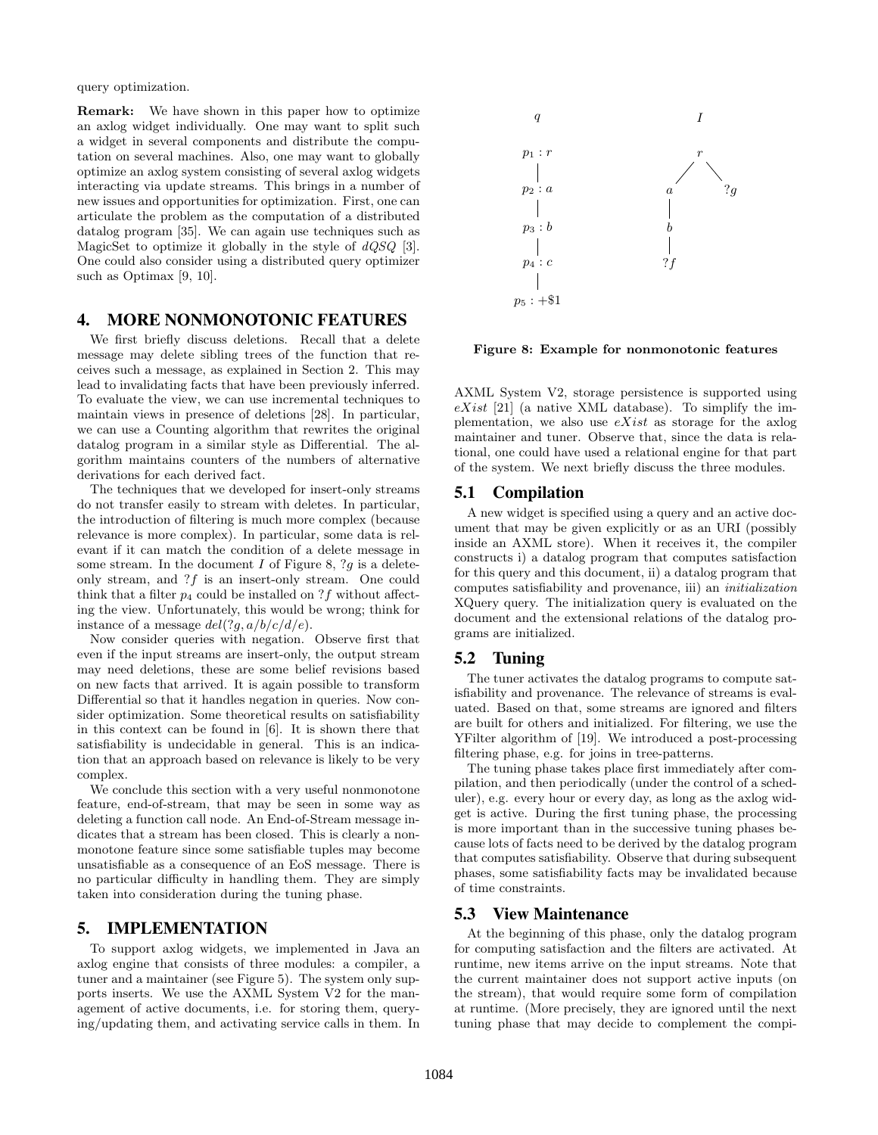query optimization.

Remark: We have shown in this paper how to optimize an axlog widget individually. One may want to split such a widget in several components and distribute the computation on several machines. Also, one may want to globally optimize an axlog system consisting of several axlog widgets interacting via update streams. This brings in a number of new issues and opportunities for optimization. First, one can articulate the problem as the computation of a distributed datalog program [35]. We can again use techniques such as MagicSet to optimize it globally in the style of  $dQSQ$  [3]. One could also consider using a distributed query optimizer such as Optimax [9, 10].

## 4. MORE NONMONOTONIC FEATURES

We first briefly discuss deletions. Recall that a delete message may delete sibling trees of the function that receives such a message, as explained in Section 2. This may lead to invalidating facts that have been previously inferred. To evaluate the view, we can use incremental techniques to maintain views in presence of deletions [28]. In particular, we can use a Counting algorithm that rewrites the original datalog program in a similar style as Differential. The algorithm maintains counters of the numbers of alternative derivations for each derived fact.

The techniques that we developed for insert-only streams do not transfer easily to stream with deletes. In particular, the introduction of filtering is much more complex (because relevance is more complex). In particular, some data is relevant if it can match the condition of a delete message in some stream. In the document I of Figure 8,  $?q$  is a deleteonly stream, and  $?f$  is an insert-only stream. One could think that a filter  $p_4$  could be installed on ? f without affecting the view. Unfortunately, this would be wrong; think for instance of a message  $del(?q, a/b/c/d/e)$ .

Now consider queries with negation. Observe first that even if the input streams are insert-only, the output stream may need deletions, these are some belief revisions based on new facts that arrived. It is again possible to transform Differential so that it handles negation in queries. Now consider optimization. Some theoretical results on satisfiability in this context can be found in [6]. It is shown there that satisfiability is undecidable in general. This is an indication that an approach based on relevance is likely to be very complex.

We conclude this section with a very useful nonmonotone feature, end-of-stream, that may be seen in some way as deleting a function call node. An End-of-Stream message indicates that a stream has been closed. This is clearly a nonmonotone feature since some satisfiable tuples may become unsatisfiable as a consequence of an EoS message. There is no particular difficulty in handling them. They are simply taken into consideration during the tuning phase.

## 5. IMPLEMENTATION

To support axlog widgets, we implemented in Java an axlog engine that consists of three modules: a compiler, a tuner and a maintainer (see Figure 5). The system only supports inserts. We use the AXML System V2 for the management of active documents, i.e. for storing them, querying/updating them, and activating service calls in them. In



Figure 8: Example for nonmonotonic features

AXML System V2, storage persistence is supported using  $eXist$  [21] (a native XML database). To simplify the implementation, we also use  $eXist$  as storage for the axlog maintainer and tuner. Observe that, since the data is relational, one could have used a relational engine for that part of the system. We next briefly discuss the three modules.

## 5.1 Compilation

A new widget is specified using a query and an active document that may be given explicitly or as an URI (possibly inside an AXML store). When it receives it, the compiler constructs i) a datalog program that computes satisfaction for this query and this document, ii) a datalog program that computes satisfiability and provenance, iii) an initialization XQuery query. The initialization query is evaluated on the document and the extensional relations of the datalog programs are initialized.

# 5.2 Tuning

The tuner activates the datalog programs to compute satisfiability and provenance. The relevance of streams is evaluated. Based on that, some streams are ignored and filters are built for others and initialized. For filtering, we use the YFilter algorithm of [19]. We introduced a post-processing filtering phase, e.g. for joins in tree-patterns.

The tuning phase takes place first immediately after compilation, and then periodically (under the control of a scheduler), e.g. every hour or every day, as long as the axlog widget is active. During the first tuning phase, the processing is more important than in the successive tuning phases because lots of facts need to be derived by the datalog program that computes satisfiability. Observe that during subsequent phases, some satisfiability facts may be invalidated because of time constraints.

## 5.3 View Maintenance

At the beginning of this phase, only the datalog program for computing satisfaction and the filters are activated. At runtime, new items arrive on the input streams. Note that the current maintainer does not support active inputs (on the stream), that would require some form of compilation at runtime. (More precisely, they are ignored until the next tuning phase that may decide to complement the compi-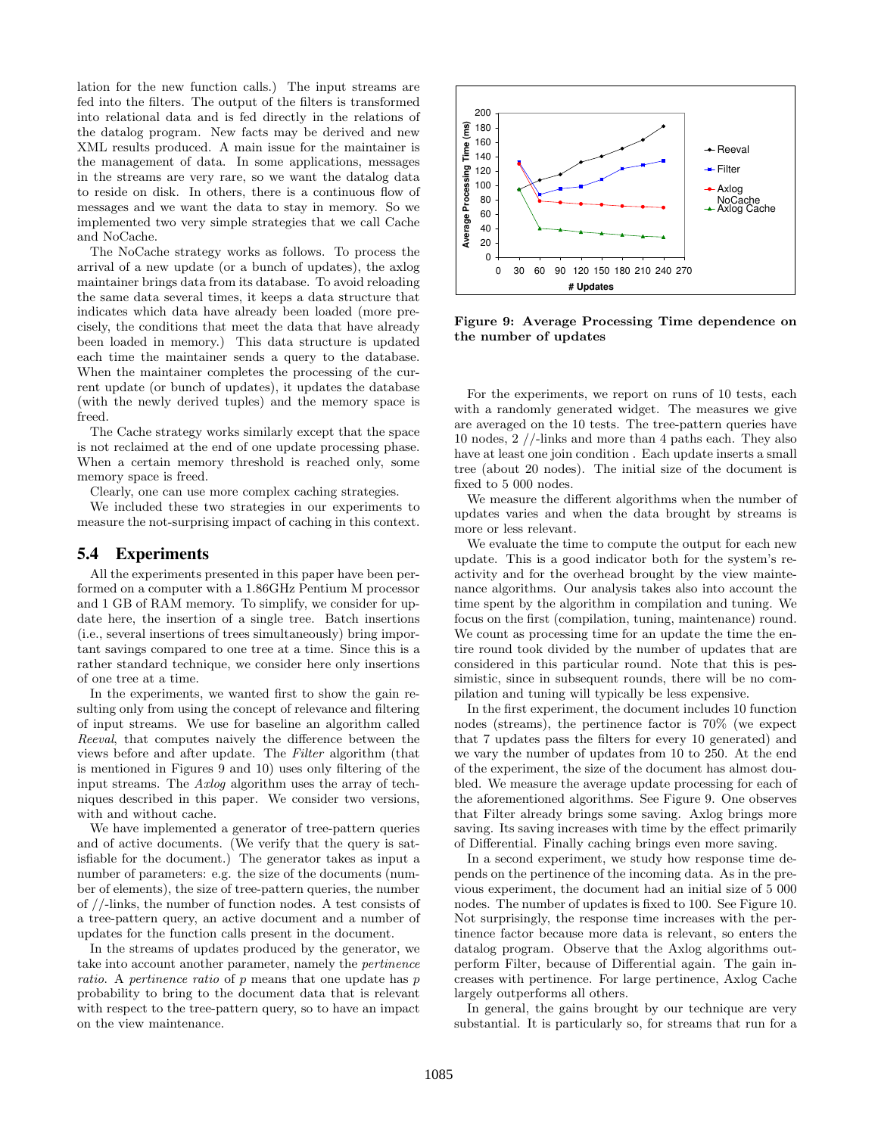lation for the new function calls.) The input streams are fed into the filters. The output of the filters is transformed into relational data and is fed directly in the relations of the datalog program. New facts may be derived and new XML results produced. A main issue for the maintainer is the management of data. In some applications, messages in the streams are very rare, so we want the datalog data to reside on disk. In others, there is a continuous flow of messages and we want the data to stay in memory. So we implemented two very simple strategies that we call Cache and NoCache.

The NoCache strategy works as follows. To process the arrival of a new update (or a bunch of updates), the axlog maintainer brings data from its database. To avoid reloading the same data several times, it keeps a data structure that indicates which data have already been loaded (more precisely, the conditions that meet the data that have already been loaded in memory.) This data structure is updated each time the maintainer sends a query to the database. When the maintainer completes the processing of the current update (or bunch of updates), it updates the database (with the newly derived tuples) and the memory space is freed.

The Cache strategy works similarly except that the space is not reclaimed at the end of one update processing phase. When a certain memory threshold is reached only, some memory space is freed.

Clearly, one can use more complex caching strategies.

We included these two strategies in our experiments to measure the not-surprising impact of caching in this context.

#### 5.4 Experiments

All the experiments presented in this paper have been performed on a computer with a 1.86GHz Pentium M processor and 1 GB of RAM memory. To simplify, we consider for update here, the insertion of a single tree. Batch insertions (i.e., several insertions of trees simultaneously) bring important savings compared to one tree at a time. Since this is a rather standard technique, we consider here only insertions of one tree at a time.

In the experiments, we wanted first to show the gain resulting only from using the concept of relevance and filtering of input streams. We use for baseline an algorithm called Reeval, that computes naively the difference between the views before and after update. The Filter algorithm (that is mentioned in Figures 9 and 10) uses only filtering of the input streams. The Axlog algorithm uses the array of techniques described in this paper. We consider two versions, with and without cache.

We have implemented a generator of tree-pattern queries and of active documents. (We verify that the query is satisfiable for the document.) The generator takes as input a number of parameters: e.g. the size of the documents (number of elements), the size of tree-pattern queries, the number of //-links, the number of function nodes. A test consists of a tree-pattern query, an active document and a number of updates for the function calls present in the document.

In the streams of updates produced by the generator, we take into account another parameter, namely the pertinence ratio. A pertinence ratio of p means that one update has p probability to bring to the document data that is relevant with respect to the tree-pattern query, so to have an impact on the view maintenance.



Figure 9: Average Processing Time dependence on the number of updates

For the experiments, we report on runs of 10 tests, each with a randomly generated widget. The measures we give are averaged on the 10 tests. The tree-pattern queries have 10 nodes, 2 //-links and more than 4 paths each. They also have at least one join condition . Each update inserts a small tree (about 20 nodes). The initial size of the document is fixed to 5 000 nodes.

We measure the different algorithms when the number of updates varies and when the data brought by streams is more or less relevant.

We evaluate the time to compute the output for each new update. This is a good indicator both for the system's reactivity and for the overhead brought by the view maintenance algorithms. Our analysis takes also into account the time spent by the algorithm in compilation and tuning. We focus on the first (compilation, tuning, maintenance) round. We count as processing time for an update the time the entire round took divided by the number of updates that are considered in this particular round. Note that this is pessimistic, since in subsequent rounds, there will be no compilation and tuning will typically be less expensive.

In the first experiment, the document includes 10 function nodes (streams), the pertinence factor is 70% (we expect that 7 updates pass the filters for every 10 generated) and we vary the number of updates from 10 to 250. At the end of the experiment, the size of the document has almost doubled. We measure the average update processing for each of the aforementioned algorithms. See Figure 9. One observes that Filter already brings some saving. Axlog brings more saving. Its saving increases with time by the effect primarily of Differential. Finally caching brings even more saving.

In a second experiment, we study how response time depends on the pertinence of the incoming data. As in the previous experiment, the document had an initial size of 5 000 nodes. The number of updates is fixed to 100. See Figure 10. Not surprisingly, the response time increases with the pertinence factor because more data is relevant, so enters the datalog program. Observe that the Axlog algorithms outperform Filter, because of Differential again. The gain increases with pertinence. For large pertinence, Axlog Cache largely outperforms all others.

In general, the gains brought by our technique are very substantial. It is particularly so, for streams that run for a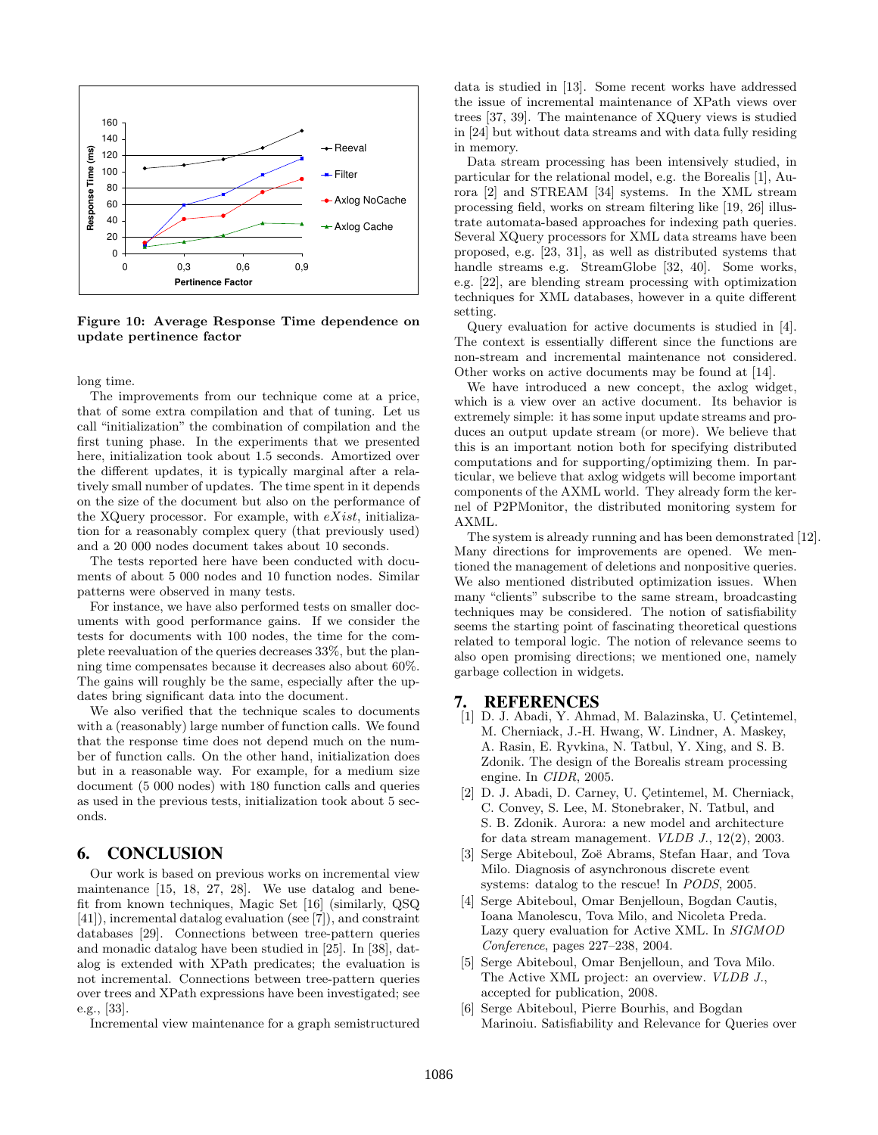

Figure 10: Average Response Time dependence on update pertinence factor

long time.

The improvements from our technique come at a price, that of some extra compilation and that of tuning. Let us call "initialization" the combination of compilation and the first tuning phase. In the experiments that we presented here, initialization took about 1.5 seconds. Amortized over the different updates, it is typically marginal after a relatively small number of updates. The time spent in it depends on the size of the document but also on the performance of the XQuery processor. For example, with  $eXist$ , initialization for a reasonably complex query (that previously used) and a 20 000 nodes document takes about 10 seconds.

The tests reported here have been conducted with documents of about 5 000 nodes and 10 function nodes. Similar patterns were observed in many tests.

For instance, we have also performed tests on smaller documents with good performance gains. If we consider the tests for documents with 100 nodes, the time for the complete reevaluation of the queries decreases 33%, but the planning time compensates because it decreases also about 60%. The gains will roughly be the same, especially after the updates bring significant data into the document.

We also verified that the technique scales to documents with a (reasonably) large number of function calls. We found that the response time does not depend much on the number of function calls. On the other hand, initialization does but in a reasonable way. For example, for a medium size document (5 000 nodes) with 180 function calls and queries as used in the previous tests, initialization took about 5 seconds.

## 6. CONCLUSION

Our work is based on previous works on incremental view maintenance [15, 18, 27, 28]. We use datalog and benefit from known techniques, Magic Set [16] (similarly, QSQ [41]), incremental datalog evaluation (see [7]), and constraint databases [29]. Connections between tree-pattern queries and monadic datalog have been studied in [25]. In [38], datalog is extended with XPath predicates; the evaluation is not incremental. Connections between tree-pattern queries over trees and XPath expressions have been investigated; see e.g., [33].

Incremental view maintenance for a graph semistructured

data is studied in [13]. Some recent works have addressed the issue of incremental maintenance of XPath views over trees [37, 39]. The maintenance of XQuery views is studied in [24] but without data streams and with data fully residing in memory.

Data stream processing has been intensively studied, in particular for the relational model, e.g. the Borealis [1], Aurora [2] and STREAM [34] systems. In the XML stream processing field, works on stream filtering like [19, 26] illustrate automata-based approaches for indexing path queries. Several XQuery processors for XML data streams have been proposed, e.g. [23, 31], as well as distributed systems that handle streams e.g. StreamGlobe [32, 40]. Some works, e.g. [22], are blending stream processing with optimization techniques for XML databases, however in a quite different setting.

Query evaluation for active documents is studied in [4]. The context is essentially different since the functions are non-stream and incremental maintenance not considered. Other works on active documents may be found at [14].

We have introduced a new concept, the axlog widget, which is a view over an active document. Its behavior is extremely simple: it has some input update streams and produces an output update stream (or more). We believe that this is an important notion both for specifying distributed computations and for supporting/optimizing them. In particular, we believe that axlog widgets will become important components of the AXML world. They already form the kernel of P2PMonitor, the distributed monitoring system for AXML.

The system is already running and has been demonstrated [12]. Many directions for improvements are opened. We mentioned the management of deletions and nonpositive queries. We also mentioned distributed optimization issues. When many "clients" subscribe to the same stream, broadcasting techniques may be considered. The notion of satisfiability seems the starting point of fascinating theoretical questions related to temporal logic. The notion of relevance seems to also open promising directions; we mentioned one, namely garbage collection in widgets.

## 7. REFERENCES

- [1] D. J. Abadi, Y. Ahmad, M. Balazinska, U. Çetintemel, M. Cherniack, J.-H. Hwang, W. Lindner, A. Maskey, A. Rasin, E. Ryvkina, N. Tatbul, Y. Xing, and S. B. Zdonik. The design of the Borealis stream processing engine. In CIDR, 2005.
- [2] D. J. Abadi, D. Carney, U. Çetintemel, M. Cherniack, C. Convey, S. Lee, M. Stonebraker, N. Tatbul, and S. B. Zdonik. Aurora: a new model and architecture for data stream management. VLDB J., 12(2), 2003.
- [3] Serge Abiteboul, Zoë Abrams, Stefan Haar, and Tova Milo. Diagnosis of asynchronous discrete event systems: datalog to the rescue! In *PODS*, 2005.
- [4] Serge Abiteboul, Omar Benjelloun, Bogdan Cautis, Ioana Manolescu, Tova Milo, and Nicoleta Preda. Lazy query evaluation for Active XML. In SIGMOD Conference, pages 227–238, 2004.
- [5] Serge Abiteboul, Omar Benjelloun, and Tova Milo. The Active XML project: an overview. VLDB J., accepted for publication, 2008.
- [6] Serge Abiteboul, Pierre Bourhis, and Bogdan Marinoiu. Satisfiability and Relevance for Queries over